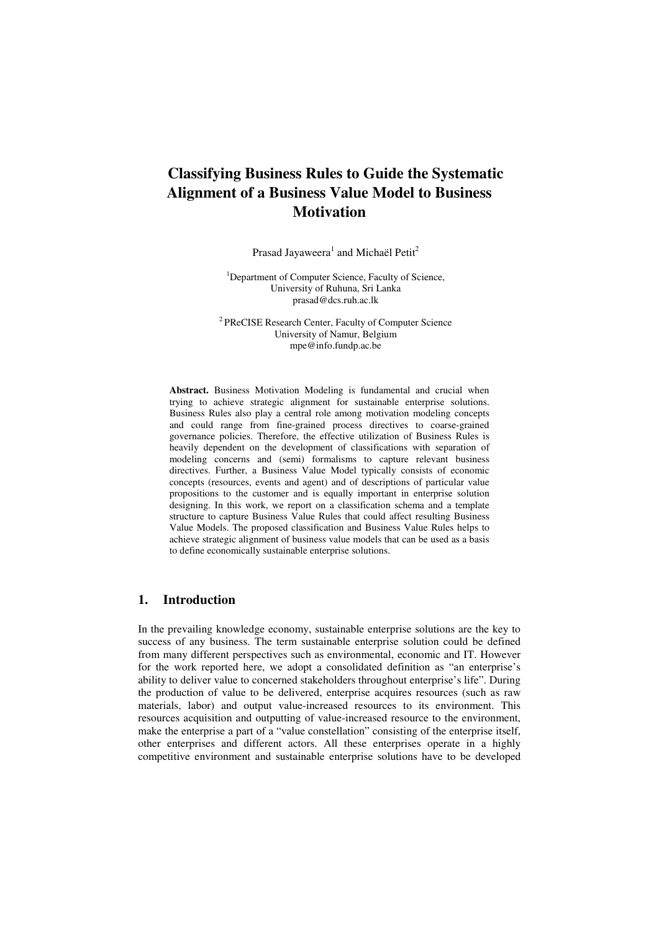# **Classifying Business Rules to Guide the Systematic Alignment of a Business Value Model to Business Motivation**

Prasad Jayaweera $^1$  and Michaël Petit $^2$ 

<sup>1</sup>Department of Computer Science, Faculty of Science, University of Ruhuna, Sri Lanka prasad@dcs.ruh.ac.lk

<sup>2</sup> PReCISE Research Center, Faculty of Computer Science University of Namur, Belgium mpe@info.fundp.ac.be

**Abstract.** Business Motivation Modeling is fundamental and crucial when trying to achieve strategic alignment for sustainable enterprise solutions. Business Rules also play a central role among motivation modeling concepts and could range from fine-grained process directives to coarse-grained governance policies. Therefore, the effective utilization of Business Rules is heavily dependent on the development of classifications with separation of modeling concerns and (semi) formalisms to capture relevant business directives. Further, a Business Value Model typically consists of economic concepts (resources, events and agent) and of descriptions of particular value propositions to the customer and is equally important in enterprise solution designing. In this work, we report on a classification schema and a template structure to capture Business Value Rules that could affect resulting Business Value Models. The proposed classification and Business Value Rules helps to achieve strategic alignment of business value models that can be used as a basis to define economically sustainable enterprise solutions.

# **1. Introduction**

In the prevailing knowledge economy, sustainable enterprise solutions are the key to success of any business. The term sustainable enterprise solution could be defined from many different perspectives such as environmental, economic and IT. However for the work reported here, we adopt a consolidated definition as "an enterprise's ability to deliver value to concerned stakeholders throughout enterprise's life". During the production of value to be delivered, enterprise acquires resources (such as raw materials, labor) and output value-increased resources to its environment. This resources acquisition and outputting of value-increased resource to the environment, make the enterprise a part of a "value constellation" consisting of the enterprise itself, other enterprises and different actors. All these enterprises operate in a highly competitive environment and sustainable enterprise solutions have to be developed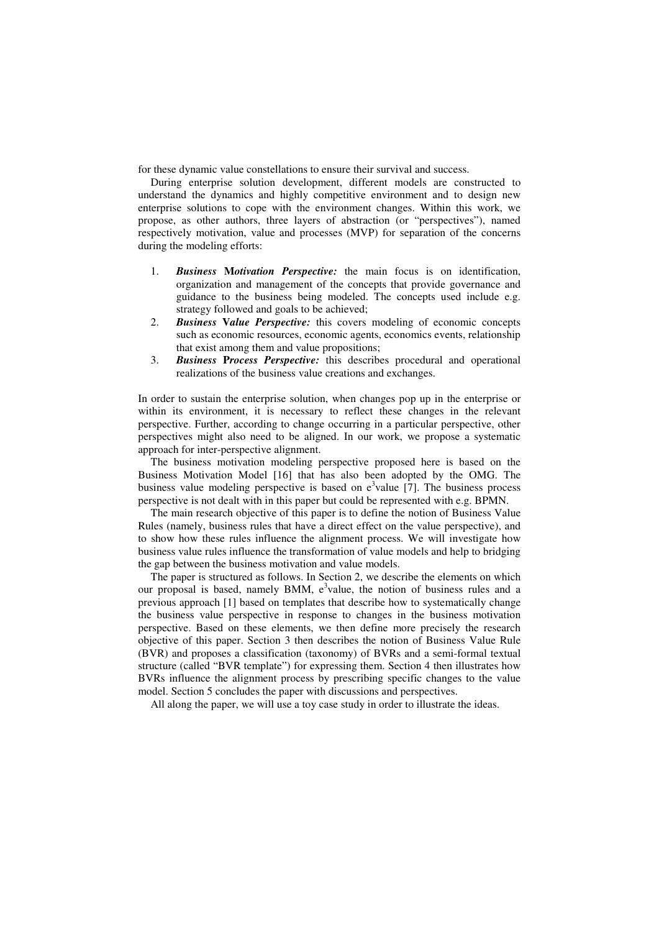for these dynamic value constellations to ensure their survival and success.

During enterprise solution development, different models are constructed to understand the dynamics and highly competitive environment and to design new enterprise solutions to cope with the environment changes. Within this work, we propose, as other authors, three layers of abstraction (or "perspectives"), named respectively motivation, value and processes (MVP) for separation of the concerns during the modeling efforts:

- 1. *Business* **M***otivation Perspective:* the main focus is on identification, organization and management of the concepts that provide governance and guidance to the business being modeled. The concepts used include e.g. strategy followed and goals to be achieved;
- 2. *Business* **V***alue Perspective:* this covers modeling of economic concepts such as economic resources, economic agents, economics events, relationship that exist among them and value propositions;
- 3. *Business* **P***rocess Perspective:* this describes procedural and operational realizations of the business value creations and exchanges.

In order to sustain the enterprise solution, when changes pop up in the enterprise or within its environment, it is necessary to reflect these changes in the relevant perspective. Further, according to change occurring in a particular perspective, other perspectives might also need to be aligned. In our work, we propose a systematic approach for inter-perspective alignment.

The business motivation modeling perspective proposed here is based on the Business Motivation Model [16] that has also been adopted by the OMG. The business value modeling perspective is based on  $e<sup>3</sup>$ value [7]. The business process perspective is not dealt with in this paper but could be represented with e.g. BPMN.

The main research objective of this paper is to define the notion of Business Value Rules (namely, business rules that have a direct effect on the value perspective), and to show how these rules influence the alignment process. We will investigate how business value rules influence the transformation of value models and help to bridging the gap between the business motivation and value models.

The paper is structured as follows. In Section 2, we describe the elements on which our proposal is based, namely BMM,  $e^3$  value, the notion of business rules and a previous approach [1] based on templates that describe how to systematically change the business value perspective in response to changes in the business motivation perspective. Based on these elements, we then define more precisely the research objective of this paper. Section 3 then describes the notion of Business Value Rule (BVR) and proposes a classification (taxonomy) of BVRs and a semi-formal textual structure (called "BVR template") for expressing them. Section 4 then illustrates how BVRs influence the alignment process by prescribing specific changes to the value model. Section 5 concludes the paper with discussions and perspectives.

All along the paper, we will use a toy case study in order to illustrate the ideas.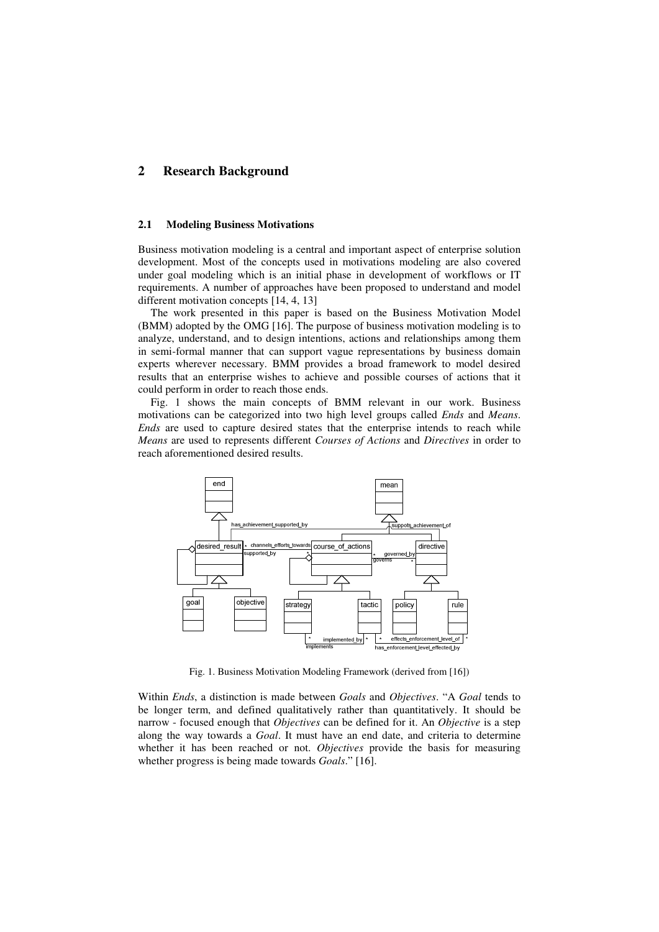# **2 Research Background**

## **2.1 Modeling Business Motivations**

Business motivation modeling is a central and important aspect of enterprise solution development. Most of the concepts used in motivations modeling are also covered under goal modeling which is an initial phase in development of workflows or IT requirements. A number of approaches have been proposed to understand and model different motivation concepts [14, 4, 13]

The work presented in this paper is based on the Business Motivation Model (BMM) adopted by the OMG [16]. The purpose of business motivation modeling is to analyze, understand, and to design intentions, actions and relationships among them in semi-formal manner that can support vague representations by business domain experts wherever necessary. BMM provides a broad framework to model desired results that an enterprise wishes to achieve and possible courses of actions that it could perform in order to reach those ends.

Fig. 1 shows the main concepts of BMM relevant in our work. Business motivations can be categorized into two high level groups called *Ends* and *Means*. *Ends* are used to capture desired states that the enterprise intends to reach while *Means* are used to represents different *Courses of Actions* and *Directives* in order to reach aforementioned desired results.



Fig. 1. Business Motivation Modeling Framework (derived from [16])

Within *Ends*, a distinction is made between *Goals* and *Objectives*. "A *Goal* tends to be longer term, and defined qualitatively rather than quantitatively. It should be narrow - focused enough that *Objectives* can be defined for it. An *Objective* is a step along the way towards a *Goal*. It must have an end date, and criteria to determine whether it has been reached or not. *Objectives* provide the basis for measuring whether progress is being made towards *Goals*." [16].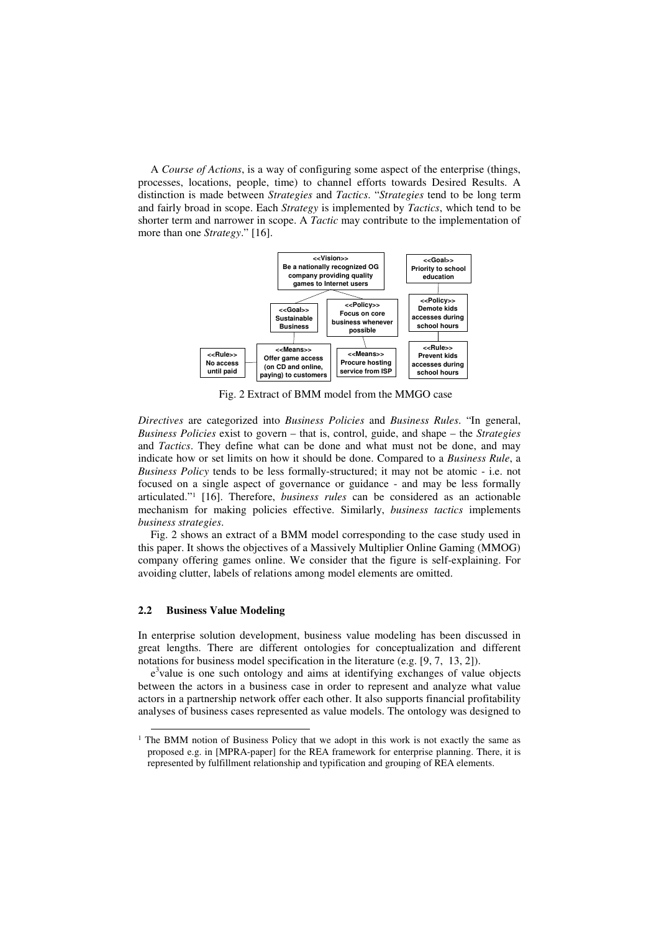A *Course of Actions*, is a way of configuring some aspect of the enterprise (things, processes, locations, people, time) to channel efforts towards Desired Results. A distinction is made between *Strategies* and *Tactics*. "*Strategies* tend to be long term and fairly broad in scope. Each *Strategy* is implemented by *Tactics*, which tend to be shorter term and narrower in scope. A *Tactic* may contribute to the implementation of more than one *Strategy*." [16].



Fig. 2 Extract of BMM model from the MMGO case

*Directives* are categorized into *Business Policies* and *Business Rules*. "In general, *Business Policies* exist to govern – that is, control, guide, and shape – the *Strategies* and *Tactics*. They define what can be done and what must not be done, and may indicate how or set limits on how it should be done. Compared to a *Business Rule*, a *Business Policy* tends to be less formally-structured; it may not be atomic - i.e. not focused on a single aspect of governance or guidance - and may be less formally articulated."<sup>1</sup> [16]. Therefore, *business rules* can be considered as an actionable mechanism for making policies effective. Similarly, *business tactics* implements *business strategies*.

Fig. 2 shows an extract of a BMM model corresponding to the case study used in this paper. It shows the objectives of a Massively Multiplier Online Gaming (MMOG) company offering games online. We consider that the figure is self-explaining. For avoiding clutter, labels of relations among model elements are omitted.

## **2.2 Business Value Modeling**

-

In enterprise solution development, business value modeling has been discussed in great lengths. There are different ontologies for conceptualization and different notations for business model specification in the literature (e.g. [9, 7, 13, 2]).

e<sup>3</sup> value is one such ontology and aims at identifying exchanges of value objects between the actors in a business case in order to represent and analyze what value actors in a partnership network offer each other. It also supports financial profitability analyses of business cases represented as value models. The ontology was designed to

<sup>&</sup>lt;sup>1</sup> The BMM notion of Business Policy that we adopt in this work is not exactly the same as proposed e.g. in [MPRA-paper] for the REA framework for enterprise planning. There, it is represented by fulfillment relationship and typification and grouping of REA elements.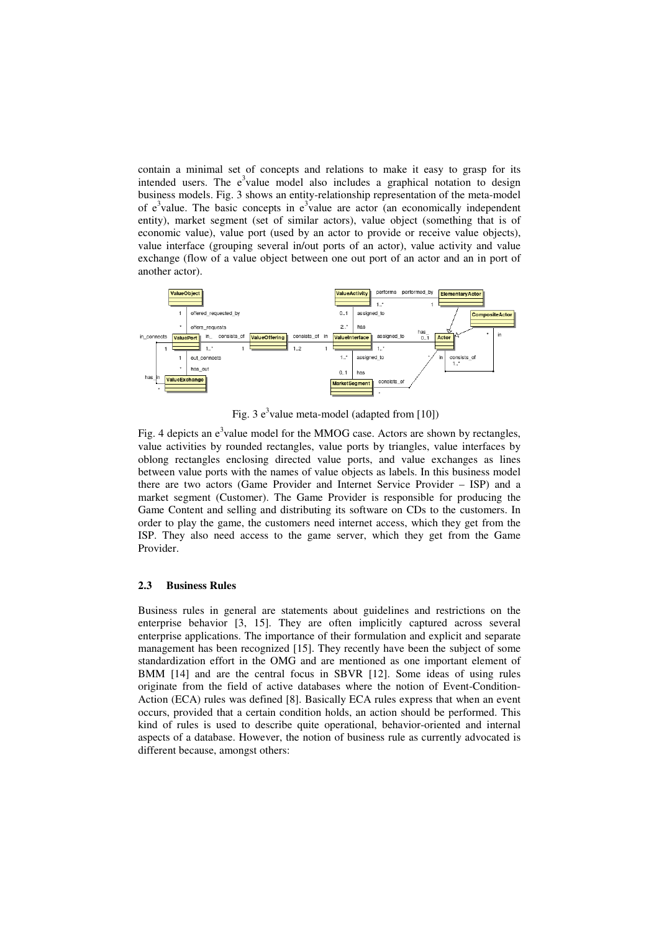contain a minimal set of concepts and relations to make it easy to grasp for its intended users. The  $e<sup>3</sup>$ value model also includes a graphical notation to design business models. Fig. 3 shows an entity-relationship representation of the meta-model of  $e^3$ value. The basic concepts in  $e^3$ value are actor (an economically independent entity), market segment (set of similar actors), value object (something that is of economic value), value port (used by an actor to provide or receive value objects), value interface (grouping several in/out ports of an actor), value activity and value exchange (flow of a value object between one out port of an actor and an in port of another actor).



Fig. 3  $e^3$ value meta-model (adapted from [10])

Fig. 4 depicts an  $e<sup>3</sup>$ value model for the MMOG case. Actors are shown by rectangles, value activities by rounded rectangles, value ports by triangles, value interfaces by oblong rectangles enclosing directed value ports, and value exchanges as lines between value ports with the names of value objects as labels. In this business model there are two actors (Game Provider and Internet Service Provider – ISP) and a market segment (Customer). The Game Provider is responsible for producing the Game Content and selling and distributing its software on CDs to the customers. In order to play the game, the customers need internet access, which they get from the ISP. They also need access to the game server, which they get from the Game Provider.

#### **2.3 Business Rules**

Business rules in general are statements about guidelines and restrictions on the enterprise behavior [3, 15]. They are often implicitly captured across several enterprise applications. The importance of their formulation and explicit and separate management has been recognized [15]. They recently have been the subject of some standardization effort in the OMG and are mentioned as one important element of BMM [14] and are the central focus in SBVR [12]. Some ideas of using rules originate from the field of active databases where the notion of Event-Condition-Action (ECA) rules was defined [8]. Basically ECA rules express that when an event occurs, provided that a certain condition holds, an action should be performed. This kind of rules is used to describe quite operational, behavior-oriented and internal aspects of a database. However, the notion of business rule as currently advocated is different because, amongst others: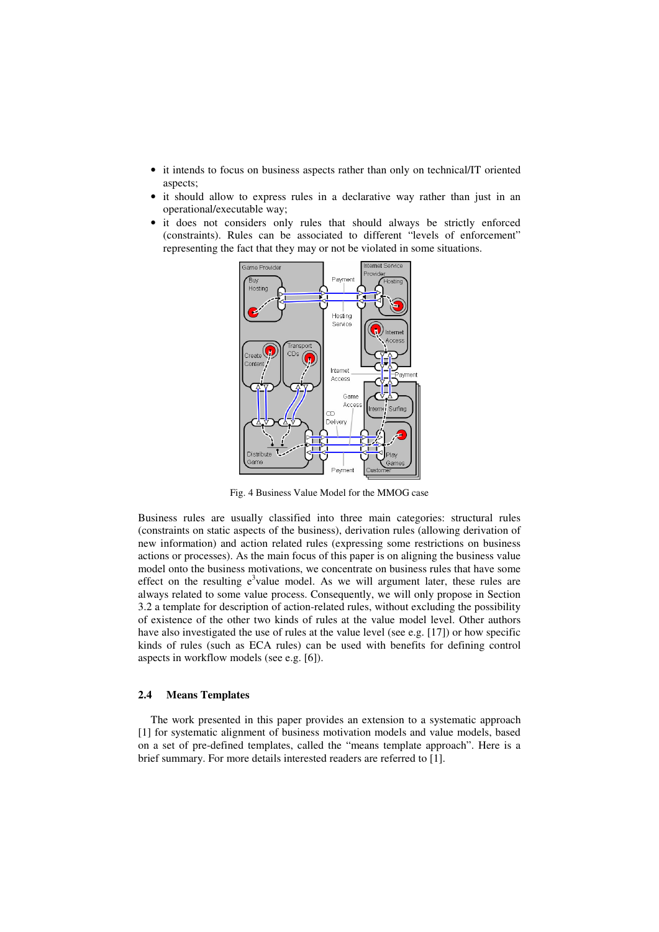- it intends to focus on business aspects rather than only on technical/IT oriented aspects;
- it should allow to express rules in a declarative way rather than just in an operational/executable way;
- it does not considers only rules that should always be strictly enforced (constraints). Rules can be associated to different "levels of enforcement" representing the fact that they may or not be violated in some situations.



Fig. 4 Business Value Model for the MMOG case

Business rules are usually classified into three main categories: structural rules (constraints on static aspects of the business), derivation rules (allowing derivation of new information) and action related rules (expressing some restrictions on business actions or processes). As the main focus of this paper is on aligning the business value model onto the business motivations, we concentrate on business rules that have some effect on the resulting  $e^3$ value model. As we will argument later, these rules are always related to some value process. Consequently, we will only propose in Section 3.2 a template for description of action-related rules, without excluding the possibility of existence of the other two kinds of rules at the value model level. Other authors have also investigated the use of rules at the value level (see e.g.  $[17]$ ) or how specific kinds of rules (such as ECA rules) can be used with benefits for defining control aspects in workflow models (see e.g. [6]).

## **2.4 Means Templates**

The work presented in this paper provides an extension to a systematic approach [1] for systematic alignment of business motivation models and value models, based on a set of pre-defined templates, called the "means template approach". Here is a brief summary. For more details interested readers are referred to [1].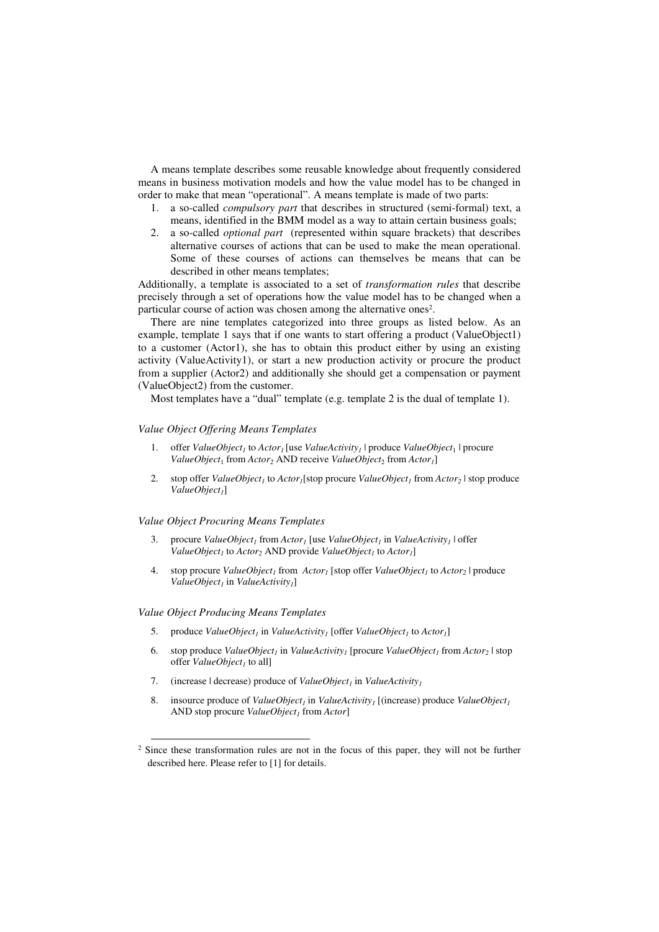A means template describes some reusable knowledge about frequently considered means in business motivation models and how the value model has to be changed in order to make that mean "operational". A means template is made of two parts:

- 1. a so-called *compulsory part* that describes in structured (semi-formal) text, a means, identified in the BMM model as a way to attain certain business goals;
- 2. a so-called *optional part* (represented within square brackets) that describes alternative courses of actions that can be used to make the mean operational. Some of these courses of actions can themselves be means that can be described in other means templates;

Additionally, a template is associated to a set of *transformation rules* that describe precisely through a set of operations how the value model has to be changed when a particular course of action was chosen among the alternative ones<sup>2</sup>.

There are nine templates categorized into three groups as listed below. As an example, template 1 says that if one wants to start offering a product (ValueObject1) to a customer (Actor1), she has to obtain this product either by using an existing activity (ValueActivity1), or start a new production activity or procure the product from a supplier (Actor2) and additionally she should get a compensation or payment (ValueObject2) from the customer.

Most templates have a "dual" template (e.g. template 2 is the dual of template 1).

#### *Value Object Offering Means Templates*

- 1. offer *ValueObject<sub>1</sub>* to *Actor<sub>1</sub>* [use *ValueActivity<sub>1</sub>* | produce *ValueObject*<sub>1</sub> | procure *ValueObject*<sub>1</sub> from *Actor*<sub>2</sub> AND receive *ValueObject*<sub>2</sub> from *Actor*<sub>1</sub>
- 2. stop offer *ValueObject<sub>1</sub>* to *Actor<sub>1</sub>*[stop procure *ValueObject<sub>1</sub>* from *Actor<sub>2</sub>* | stop produce *ValueObject<sup>1</sup>* ]

#### *Value Object Procuring Means Templates*

- 3. procure *ValueObject<sup>1</sup>* from *Actor<sup>1</sup>* [use *ValueObject<sup>1</sup>* in *ValueActivity<sup>1</sup>* | offer *ValueObject<sub>1</sub>* to  $Actor_2$  AND provide *ValueObject<sub>1</sub>* to  $Actor_1$
- 4. stop procure *ValueObject<sup>1</sup>* from *Actor<sup>1</sup>* [stop offer *ValueObject<sup>1</sup>* to *Actor<sup>2</sup>* | produce *ValueObject<sup>1</sup>* in *ValueActivity<sup>1</sup>* ]

# *Value Object Producing Means Templates*

-

- 5. produce *ValueObject<sub>1</sub>* in *ValueActivity<sub>1</sub>* [offer *ValueObject<sub>1</sub>* to *Actor<sub>1</sub>*]
- 6. stop produce *ValueObject<sup>1</sup>* in *ValueActivity<sup>1</sup>* [procure *ValueObject<sup>1</sup>* from *Actor<sup>2</sup>* | stop offer *ValueObject<sup>1</sup>* to all]
- 7. (increase | decrease) produce of *ValueObject<sup>1</sup>* in *ValueActivity<sup>1</sup>*
- 8. insource produce of *ValueObject<sup>1</sup>* in *ValueActivity<sup>1</sup>* [(increase) produce *ValueObject<sup>1</sup>* AND stop procure *ValueObject<sup>1</sup>* from *Actor*]

<sup>&</sup>lt;sup>2</sup> Since these transformation rules are not in the focus of this paper, they will not be further described here. Please refer to [1] for details.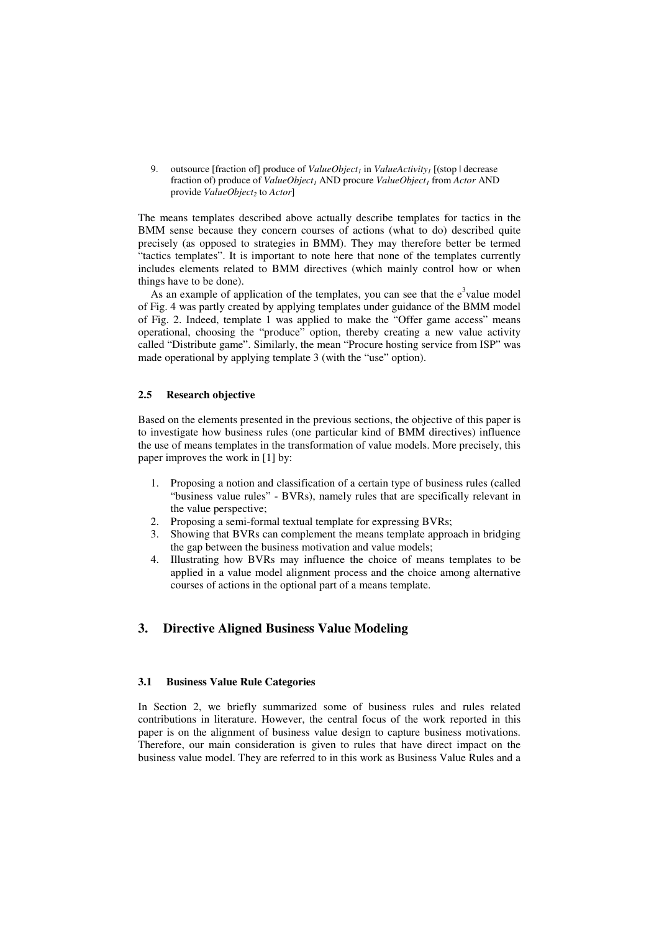9. outsource [fraction of] produce of *ValueObject<sup>1</sup>* in *ValueActivity<sup>1</sup>* [(stop | decrease fraction of) produce of *ValueObject<sup>1</sup>* AND procure *ValueObject<sup>1</sup>* from *Actor* AND provide *ValueObject<sup>2</sup>* to *Actor*]

The means templates described above actually describe templates for tactics in the BMM sense because they concern courses of actions (what to do) described quite precisely (as opposed to strategies in BMM). They may therefore better be termed "tactics templates". It is important to note here that none of the templates currently includes elements related to BMM directives (which mainly control how or when things have to be done).

As an example of application of the templates, you can see that the  $e<sup>3</sup>$ value model of Fig. 4 was partly created by applying templates under guidance of the BMM model of Fig. 2. Indeed, template 1 was applied to make the "Offer game access" means operational, choosing the "produce" option, thereby creating a new value activity called "Distribute game". Similarly, the mean "Procure hosting service from ISP" was made operational by applying template 3 (with the "use" option).

## **2.5 Research objective**

Based on the elements presented in the previous sections, the objective of this paper is to investigate how business rules (one particular kind of BMM directives) influence the use of means templates in the transformation of value models. More precisely, this paper improves the work in [1] by:

- 1. Proposing a notion and classification of a certain type of business rules (called "business value rules" - BVRs), namely rules that are specifically relevant in the value perspective;
- 2. Proposing a semi-formal textual template for expressing BVRs;
- 3. Showing that BVRs can complement the means template approach in bridging the gap between the business motivation and value models;
- 4. Illustrating how BVRs may influence the choice of means templates to be applied in a value model alignment process and the choice among alternative courses of actions in the optional part of a means template.

# **3. Directive Aligned Business Value Modeling**

#### **3.1 Business Value Rule Categories**

In Section 2, we briefly summarized some of business rules and rules related contributions in literature. However, the central focus of the work reported in this paper is on the alignment of business value design to capture business motivations. Therefore, our main consideration is given to rules that have direct impact on the business value model. They are referred to in this work as Business Value Rules and a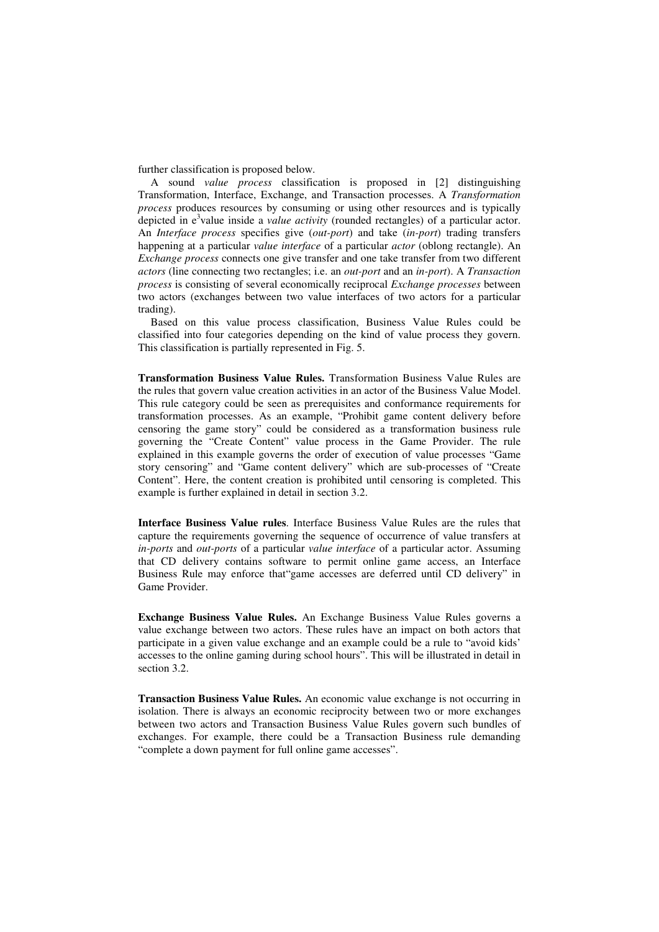further classification is proposed below.

A sound *value process* classification is proposed in [2] distinguishing Transformation, Interface, Exchange, and Transaction processes. A *Transformation process* produces resources by consuming or using other resources and is typically depicted in e<sup>3</sup>value inside a *value activity* (rounded rectangles) of a particular actor. An *Interface process* specifies give (*out-port*) and take (*in-port*) trading transfers happening at a particular *value interface* of a particular *actor* (oblong rectangle). An *Exchange process* connects one give transfer and one take transfer from two different *actors* (line connecting two rectangles; i.e. an *out-port* and an *in-port*). A *Transaction process* is consisting of several economically reciprocal *Exchange processes* between two actors (exchanges between two value interfaces of two actors for a particular trading).

Based on this value process classification, Business Value Rules could be classified into four categories depending on the kind of value process they govern. This classification is partially represented in Fig. 5.

**Transformation Business Value Rules.** Transformation Business Value Rules are the rules that govern value creation activities in an actor of the Business Value Model. This rule category could be seen as prerequisites and conformance requirements for transformation processes. As an example, "Prohibit game content delivery before censoring the game story" could be considered as a transformation business rule governing the "Create Content" value process in the Game Provider. The rule explained in this example governs the order of execution of value processes "Game story censoring" and "Game content delivery" which are sub-processes of "Create Content". Here, the content creation is prohibited until censoring is completed. This example is further explained in detail in section 3.2.

**Interface Business Value rules**. Interface Business Value Rules are the rules that capture the requirements governing the sequence of occurrence of value transfers at *in-ports* and *out-ports* of a particular *value interface* of a particular actor. Assuming that CD delivery contains software to permit online game access, an Interface Business Rule may enforce that"game accesses are deferred until CD delivery" in Game Provider.

**Exchange Business Value Rules.** An Exchange Business Value Rules governs a value exchange between two actors. These rules have an impact on both actors that participate in a given value exchange and an example could be a rule to "avoid kids' accesses to the online gaming during school hours". This will be illustrated in detail in section 3.2.

**Transaction Business Value Rules.** An economic value exchange is not occurring in isolation. There is always an economic reciprocity between two or more exchanges between two actors and Transaction Business Value Rules govern such bundles of exchanges. For example, there could be a Transaction Business rule demanding "complete a down payment for full online game accesses".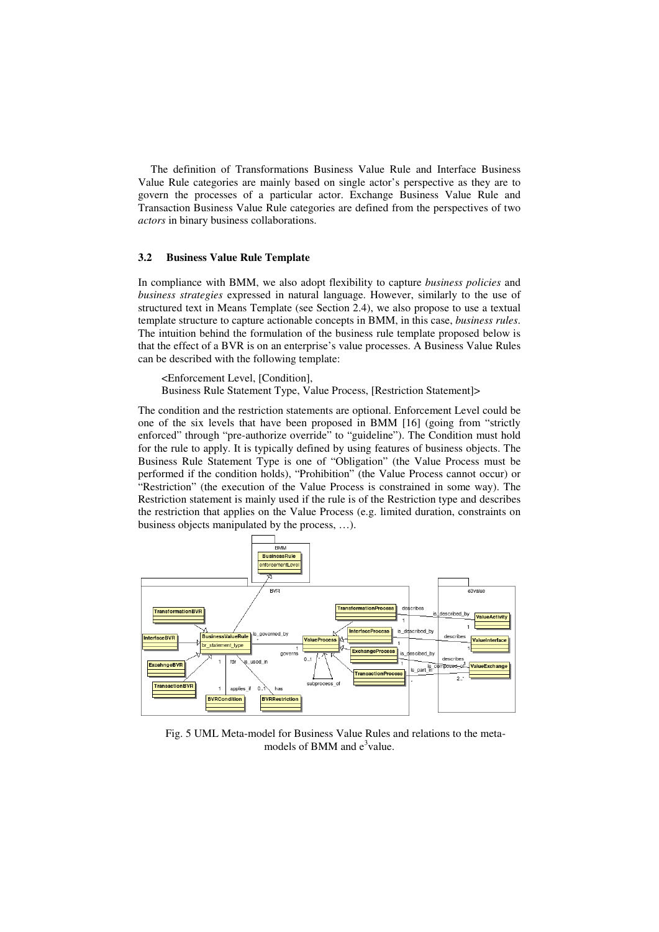The definition of Transformations Business Value Rule and Interface Business Value Rule categories are mainly based on single actor's perspective as they are to govern the processes of a particular actor. Exchange Business Value Rule and Transaction Business Value Rule categories are defined from the perspectives of two *actors* in binary business collaborations.

#### **3.2 Business Value Rule Template**

In compliance with BMM, we also adopt flexibility to capture *business policies* and *business strategies* expressed in natural language. However, similarly to the use of structured text in Means Template (see Section 2.4), we also propose to use a textual template structure to capture actionable concepts in BMM, in this case, *business rules*. The intuition behind the formulation of the business rule template proposed below is that the effect of a BVR is on an enterprise's value processes. A Business Value Rules can be described with the following template:

<Enforcement Level, [Condition], Business Rule Statement Type, Value Process, [Restriction Statement]>

The condition and the restriction statements are optional. Enforcement Level could be one of the six levels that have been proposed in BMM [16] (going from "strictly enforced" through "pre-authorize override" to "guideline"). The Condition must hold for the rule to apply. It is typically defined by using features of business objects. The Business Rule Statement Type is one of "Obligation" (the Value Process must be performed if the condition holds), "Prohibition" (the Value Process cannot occur) or "Restriction" (the execution of the Value Process is constrained in some way). The Restriction statement is mainly used if the rule is of the Restriction type and describes the restriction that applies on the Value Process (e.g. limited duration, constraints on business objects manipulated by the process, …).



Fig. 5 UML Meta-model for Business Value Rules and relations to the metamodels of BMM and  $e^3$  value.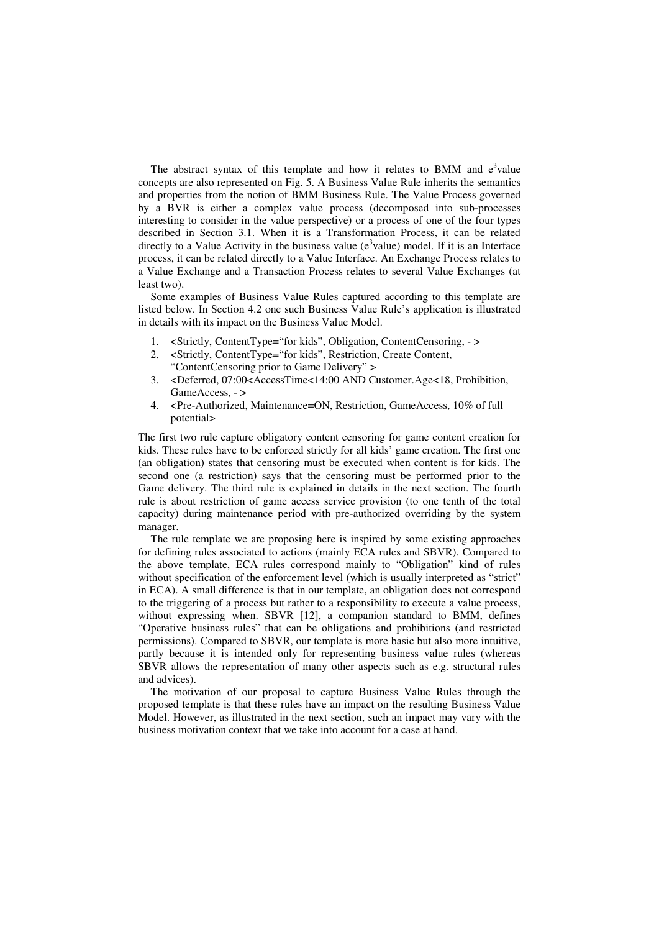The abstract syntax of this template and how it relates to BMM and  $e<sup>3</sup>$  value concepts are also represented on Fig. 5. A Business Value Rule inherits the semantics and properties from the notion of BMM Business Rule. The Value Process governed by a BVR is either a complex value process (decomposed into sub-processes interesting to consider in the value perspective) or a process of one of the four types described in Section 3.1. When it is a Transformation Process, it can be related directly to a Value Activity in the business value ( $e^3$ value) model. If it is an Interface process, it can be related directly to a Value Interface. An Exchange Process relates to a Value Exchange and a Transaction Process relates to several Value Exchanges (at least two).

Some examples of Business Value Rules captured according to this template are listed below. In Section 4.2 one such Business Value Rule's application is illustrated in details with its impact on the Business Value Model.

- 1. <Strictly, ContentType="for kids", Obligation, ContentCensoring, >
- 2. <Strictly, ContentType="for kids", Restriction, Create Content, "ContentCensoring prior to Game Delivery" >
- 3. <Deferred, 07:00<AccessTime<14:00 AND Customer.Age<18, Prohibition, GameAccess, - >
- 4. <Pre-Authorized, Maintenance=ON, Restriction, GameAccess, 10% of full potential>

The first two rule capture obligatory content censoring for game content creation for kids. These rules have to be enforced strictly for all kids' game creation. The first one (an obligation) states that censoring must be executed when content is for kids. The second one (a restriction) says that the censoring must be performed prior to the Game delivery. The third rule is explained in details in the next section. The fourth rule is about restriction of game access service provision (to one tenth of the total capacity) during maintenance period with pre-authorized overriding by the system manager.

The rule template we are proposing here is inspired by some existing approaches for defining rules associated to actions (mainly ECA rules and SBVR). Compared to the above template, ECA rules correspond mainly to "Obligation" kind of rules without specification of the enforcement level (which is usually interpreted as "strict" in ECA). A small difference is that in our template, an obligation does not correspond to the triggering of a process but rather to a responsibility to execute a value process, without expressing when. SBVR [12], a companion standard to BMM, defines "Operative business rules" that can be obligations and prohibitions (and restricted permissions). Compared to SBVR, our template is more basic but also more intuitive, partly because it is intended only for representing business value rules (whereas SBVR allows the representation of many other aspects such as e.g. structural rules and advices).

The motivation of our proposal to capture Business Value Rules through the proposed template is that these rules have an impact on the resulting Business Value Model. However, as illustrated in the next section, such an impact may vary with the business motivation context that we take into account for a case at hand.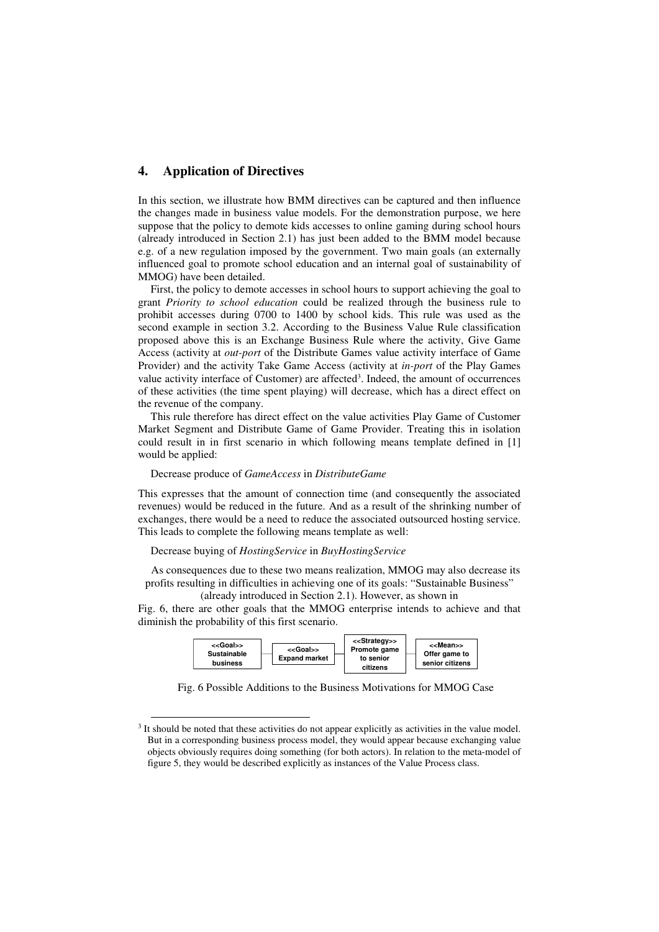## **4. Application of Directives**

In this section, we illustrate how BMM directives can be captured and then influence the changes made in business value models. For the demonstration purpose, we here suppose that the policy to demote kids accesses to online gaming during school hours (already introduced in Section 2.1) has just been added to the BMM model because e.g. of a new regulation imposed by the government. Two main goals (an externally influenced goal to promote school education and an internal goal of sustainability of MMOG) have been detailed.

First, the policy to demote accesses in school hours to support achieving the goal to grant *Priority to school education* could be realized through the business rule to prohibit accesses during 0700 to 1400 by school kids. This rule was used as the second example in section 3.2. According to the Business Value Rule classification proposed above this is an Exchange Business Rule where the activity, Give Game Access (activity at *out-port* of the Distribute Games value activity interface of Game Provider) and the activity Take Game Access (activity at *in-port* of the Play Games value activity interface of Customer) are affected<sup>3</sup>. Indeed, the amount of occurrences of these activities (the time spent playing) will decrease, which has a direct effect on the revenue of the company.

This rule therefore has direct effect on the value activities Play Game of Customer Market Segment and Distribute Game of Game Provider. Treating this in isolation could result in in first scenario in which following means template defined in [1] would be applied:

#### Decrease produce of *GameAccess* in *DistributeGame*

This expresses that the amount of connection time (and consequently the associated revenues) would be reduced in the future. And as a result of the shrinking number of exchanges, there would be a need to reduce the associated outsourced hosting service. This leads to complete the following means template as well:

## Decrease buying of *HostingService* in *BuyHostingService*

-

As consequences due to these two means realization, MMOG may also decrease its profits resulting in difficulties in achieving one of its goals: "Sustainable Business" (already introduced in Section 2.1). However, as shown in

Fig. 6, there are other goals that the MMOG enterprise intends to achieve and that diminish the probability of this first scenario.



Fig. 6 Possible Additions to the Business Motivations for MMOG Case

<sup>&</sup>lt;sup>3</sup> It should be noted that these activities do not appear explicitly as activities in the value model. But in a corresponding business process model, they would appear because exchanging value objects obviously requires doing something (for both actors). In relation to the meta-model of figure 5, they would be described explicitly as instances of the Value Process class.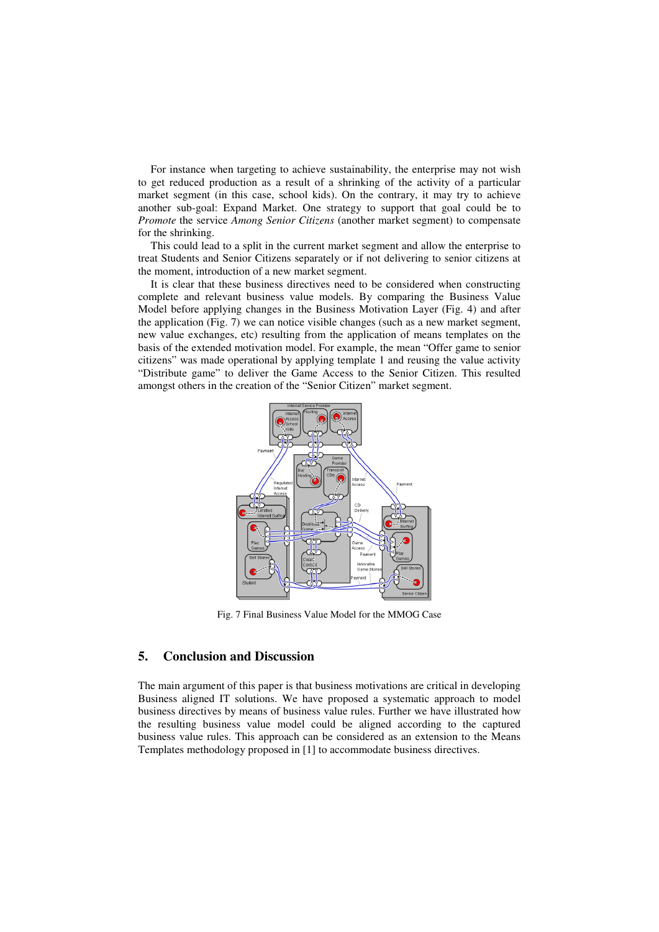For instance when targeting to achieve sustainability, the enterprise may not wish to get reduced production as a result of a shrinking of the activity of a particular market segment (in this case, school kids). On the contrary, it may try to achieve another sub-goal: Expand Market. One strategy to support that goal could be to *Promote* the service *Among Senior Citizens* (another market segment) to compensate for the shrinking.

This could lead to a split in the current market segment and allow the enterprise to treat Students and Senior Citizens separately or if not delivering to senior citizens at the moment, introduction of a new market segment.

It is clear that these business directives need to be considered when constructing complete and relevant business value models. By comparing the Business Value Model before applying changes in the Business Motivation Layer (Fig. 4) and after the application (Fig. 7) we can notice visible changes (such as a new market segment, new value exchanges, etc) resulting from the application of means templates on the basis of the extended motivation model. For example, the mean "Offer game to senior citizens" was made operational by applying template 1 and reusing the value activity "Distribute game" to deliver the Game Access to the Senior Citizen. This resulted amongst others in the creation of the "Senior Citizen" market segment.



Fig. 7 Final Business Value Model for the MMOG Case

# **5. Conclusion and Discussion**

The main argument of this paper is that business motivations are critical in developing Business aligned IT solutions. We have proposed a systematic approach to model business directives by means of business value rules. Further we have illustrated how the resulting business value model could be aligned according to the captured business value rules. This approach can be considered as an extension to the Means Templates methodology proposed in [1] to accommodate business directives.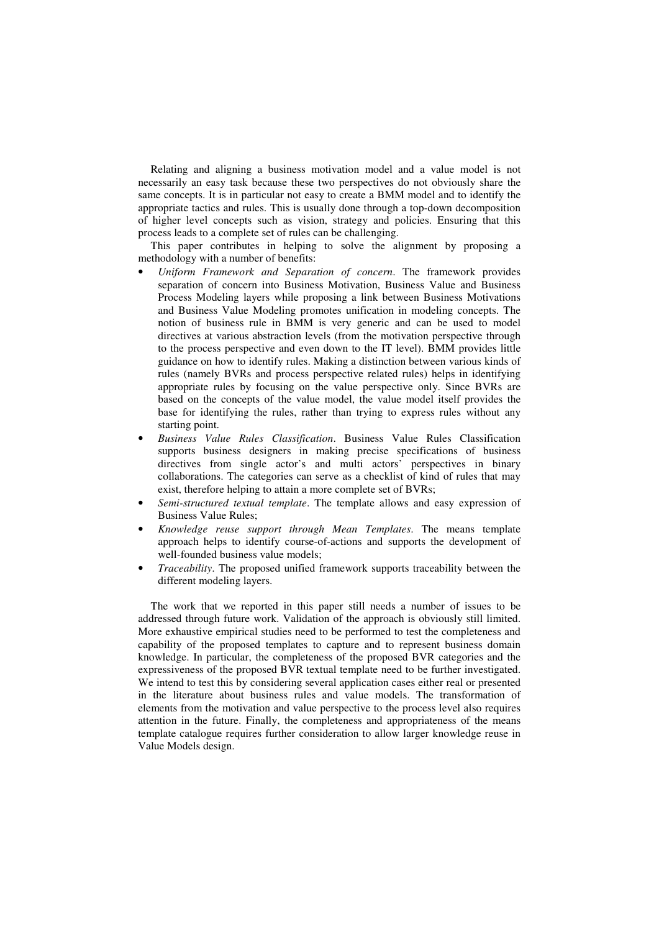Relating and aligning a business motivation model and a value model is not necessarily an easy task because these two perspectives do not obviously share the same concepts. It is in particular not easy to create a BMM model and to identify the appropriate tactics and rules. This is usually done through a top-down decomposition of higher level concepts such as vision, strategy and policies. Ensuring that this process leads to a complete set of rules can be challenging.

This paper contributes in helping to solve the alignment by proposing a methodology with a number of benefits:

- *Uniform Framework and Separation of concern*. The framework provides separation of concern into Business Motivation, Business Value and Business Process Modeling layers while proposing a link between Business Motivations and Business Value Modeling promotes unification in modeling concepts. The notion of business rule in BMM is very generic and can be used to model directives at various abstraction levels (from the motivation perspective through to the process perspective and even down to the IT level). BMM provides little guidance on how to identify rules. Making a distinction between various kinds of rules (namely BVRs and process perspective related rules) helps in identifying appropriate rules by focusing on the value perspective only. Since BVRs are based on the concepts of the value model, the value model itself provides the base for identifying the rules, rather than trying to express rules without any starting point.
- *Business Value Rules Classification*. Business Value Rules Classification supports business designers in making precise specifications of business directives from single actor's and multi actors' perspectives in binary collaborations. The categories can serve as a checklist of kind of rules that may exist, therefore helping to attain a more complete set of BVRs;
- *Semi-structured textual template*. The template allows and easy expression of Business Value Rules;
- *Knowledge reuse support through Mean Templates*. The means template approach helps to identify course-of-actions and supports the development of well-founded business value models;
- *Traceability*. The proposed unified framework supports traceability between the different modeling layers.

The work that we reported in this paper still needs a number of issues to be addressed through future work. Validation of the approach is obviously still limited. More exhaustive empirical studies need to be performed to test the completeness and capability of the proposed templates to capture and to represent business domain knowledge. In particular, the completeness of the proposed BVR categories and the expressiveness of the proposed BVR textual template need to be further investigated. We intend to test this by considering several application cases either real or presented in the literature about business rules and value models. The transformation of elements from the motivation and value perspective to the process level also requires attention in the future. Finally, the completeness and appropriateness of the means template catalogue requires further consideration to allow larger knowledge reuse in Value Models design.